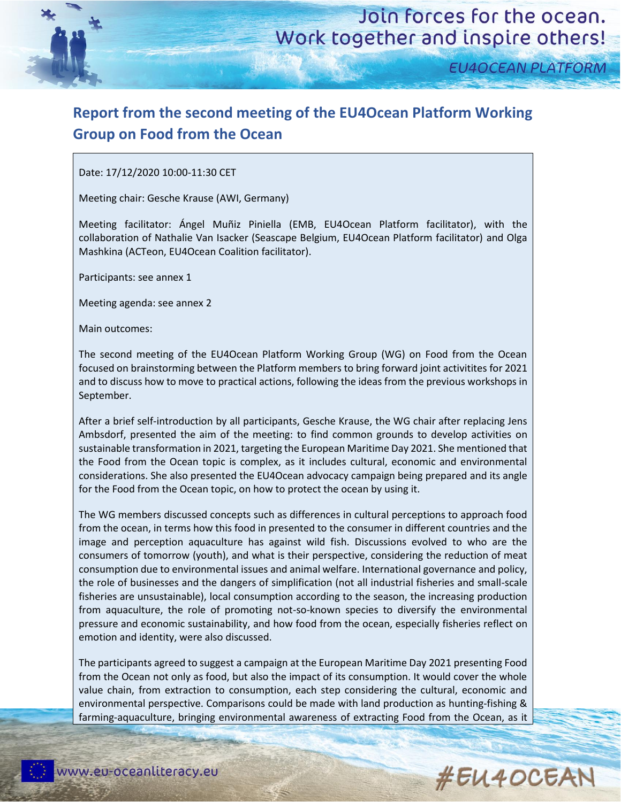

**EU4OCEAN PLATFORM** 

### **Report from the second meeting of the EU4Ocean Platform Working Group on Food from the Ocean**

Date: 17/12/2020 10:00-11:30 CET

Meeting chair: Gesche Krause (AWI, Germany)

Meeting facilitator: Ángel Muñiz Piniella (EMB, EU4Ocean Platform facilitator), with the collaboration of Nathalie Van Isacker (Seascape Belgium, EU4Ocean Platform facilitator) and Olga Mashkina (ACTeon, EU4Ocean Coalition facilitator).

Participants: see annex 1

Meeting agenda: see annex 2

Main outcomes:

The second meeting of the EU4Ocean Platform Working Group (WG) on Food from the Ocean focused on brainstorming between the Platform members to bring forward joint activitites for 2021 and to discuss how to move to practical actions, following the ideas from the previous workshops in September.

After a brief self-introduction by all participants, Gesche Krause, the WG chair after replacing Jens Ambsdorf, presented the aim of the meeting: to find common grounds to develop activities on sustainable transformation in 2021, targeting the European Maritime Day 2021. She mentioned that the Food from the Ocean topic is complex, as it includes cultural, economic and environmental considerations. She also presented the EU4Ocean advocacy campaign being prepared and its angle for the Food from the Ocean topic, on how to protect the ocean by using it.

The WG members discussed concepts such as differences in cultural perceptions to approach food from the ocean, in terms how this food in presented to the consumer in different countries and the image and perception aquaculture has against wild fish. Discussions evolved to who are the consumers of tomorrow (youth), and what is their perspective, considering the reduction of meat consumption due to environmental issues and animal welfare. International governance and policy, the role of businesses and the dangers of simplification (not all industrial fisheries and small-scale fisheries are unsustainable), local consumption according to the season, the increasing production from aquaculture, the role of promoting not-so-known species to diversify the environmental pressure and economic sustainability, and how food from the ocean, especially fisheries reflect on emotion and identity, were also discussed.

The participants agreed to suggest a campaign at the European Maritime Day 2021 presenting Food from the Ocean not only as food, but also the impact of its consumption. It would cover the whole value chain, from extraction to consumption, each step considering the cultural, economic and environmental perspective. Comparisons could be made with land production as hunting-fishing & farming-aquaculture, bringing environmental awareness of extracting Food from the Ocean, as it

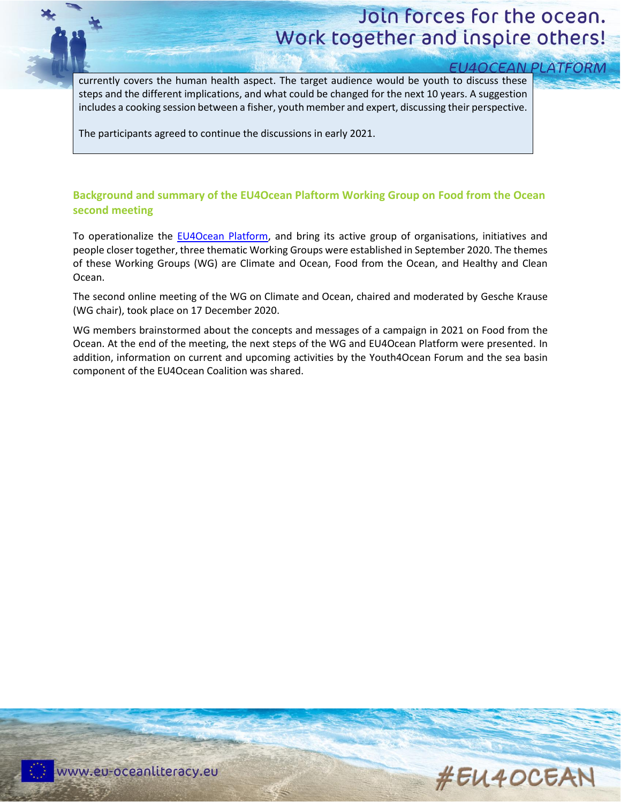# Join forces for the ocean. Work together and inspire others!

**EU4OCEAN PLATFORM** 

currently covers the human health aspect. The target audience would be youth to discuss these steps and the different implications, and what could be changed for the next 10 years. A suggestion includes a cooking session between a fisher, youth member and expert, discussing their perspective.

The participants agreed to continue the discussions in early 2021.

#### **Background and summary of the EU4Ocean Plaftorm Working Group on Food from the Ocean second meeting**

To operationalize the [EU4Ocean Platform,](https://webgate.ec.europa.eu/maritimeforum/en/frontpage/1483) and bring its active group of organisations, initiatives and people closer together, three thematic Working Groups were established in September 2020. The themes of these Working Groups (WG) are Climate and Ocean, Food from the Ocean, and Healthy and Clean Ocean.

The second online meeting of the WG on Climate and Ocean, chaired and moderated by Gesche Krause (WG chair), took place on 17 December 2020.

WG members brainstormed about the concepts and messages of a campaign in 2021 on Food from the Ocean. At the end of the meeting, the next steps of the WG and EU4Ocean Platform were presented. In addition, information on current and upcoming activities by the Youth4Ocean Forum and the sea basin component of the EU4Ocean Coalition was shared.

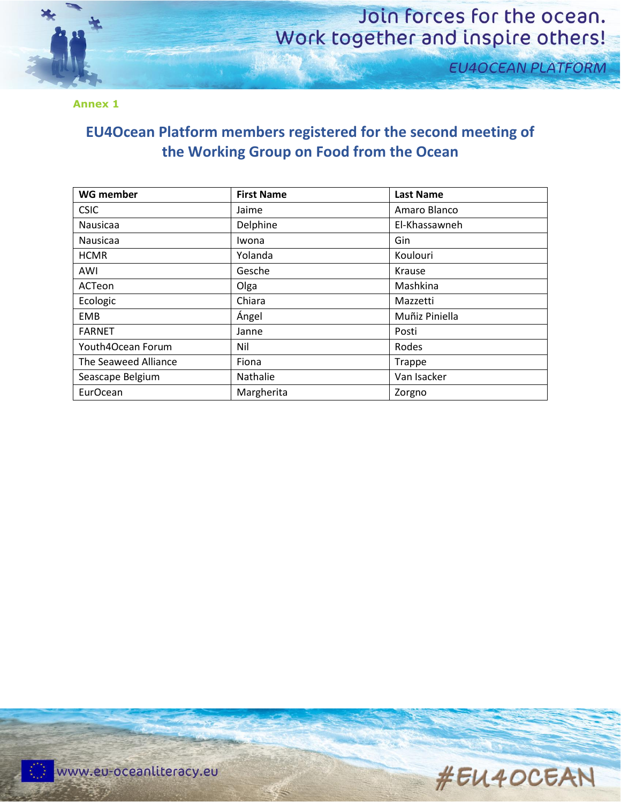

### Join forces for the ocean. Work together and inspire others!

**EU4OCEAN PLATFORM** 

**Annex 1**

#### **EU4Ocean Platform members registered for the second meeting of the Working Group on Food from the Ocean**

| <b>WG member</b>     | <b>First Name</b> | <b>Last Name</b> |
|----------------------|-------------------|------------------|
| <b>CSIC</b>          | Jaime             | Amaro Blanco     |
| Nausicaa             | Delphine          | El-Khassawneh    |
| Nausicaa             | Iwona             | Gin              |
| <b>HCMR</b>          | Yolanda           | Koulouri         |
| AWI                  | Gesche            | Krause           |
| ACTeon               | Olga              | Mashkina         |
| Ecologic             | Chiara            | Mazzetti         |
| EMB                  | Ángel             | Muñiz Piniella   |
| <b>FARNET</b>        | Janne             | Posti            |
| Youth4Ocean Forum    | Nil               | Rodes            |
| The Seaweed Alliance | Fiona             | <b>Trappe</b>    |
| Seascape Belgium     | Nathalie          | Van Isacker      |
| EurOcean             | Margherita        | Zorgno           |